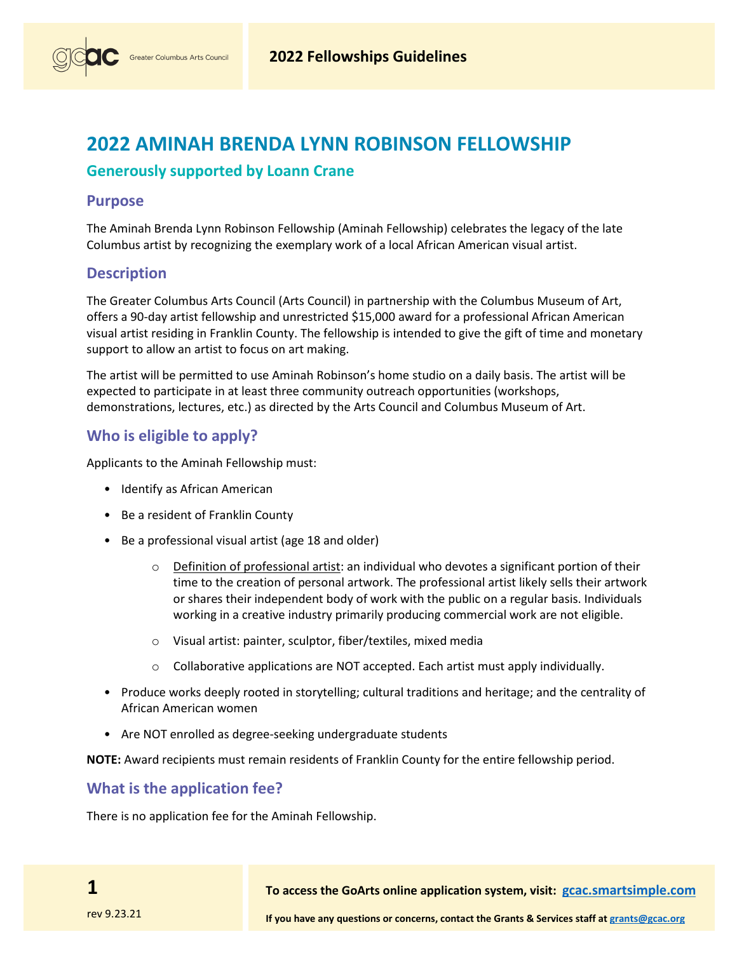# **2022 AMINAH BRENDA LYNN ROBINSON FELLOWSHIP**

## **Generously supported by Loann Crane**

#### **Purpose**

The Aminah Brenda Lynn Robinson Fellowship (Aminah Fellowship) celebrates the legacy of the late Columbus artist by recognizing the exemplary work of a local African American visual artist.

### **Description**

The Greater Columbus Arts Council (Arts Council) in partnership with the Columbus Museum of Art, offers a 90-day artist fellowship and unrestricted \$15,000 award for a professional African American visual artist residing in Franklin County. The fellowship is intended to give the gift of time and monetary support to allow an artist to focus on art making.

The artist will be permitted to use Aminah Robinson's home studio on a daily basis. The artist will be expected to participate in at least three community outreach opportunities (workshops, demonstrations, lectures, etc.) as directed by the Arts Council and Columbus Museum of Art.

## **Who is eligible to apply?**

Applicants to the Aminah Fellowship must:

- Identify as African American
- Be a resident of Franklin County
- Be a professional visual artist (age 18 and older)
	- $\circ$  Definition of professional artist: an individual who devotes a significant portion of their time to the creation of personal artwork. The professional artist likely sells their artwork or shares their independent body of work with the public on a regular basis. Individuals working in a creative industry primarily producing commercial work are not eligible.
	- o Visual artist: painter, sculptor, fiber/textiles, mixed media
	- $\circ$  Collaborative applications are NOT accepted. Each artist must apply individually.
- Produce works deeply rooted in storytelling; cultural traditions and heritage; and the centrality of African American women
- Are NOT enrolled as degree-seeking undergraduate students

**NOTE:** Award recipients must remain residents of Franklin County for the entire fellowship period.

#### **What is the application fee?**

There is no application fee for the Aminah Fellowship.

**1**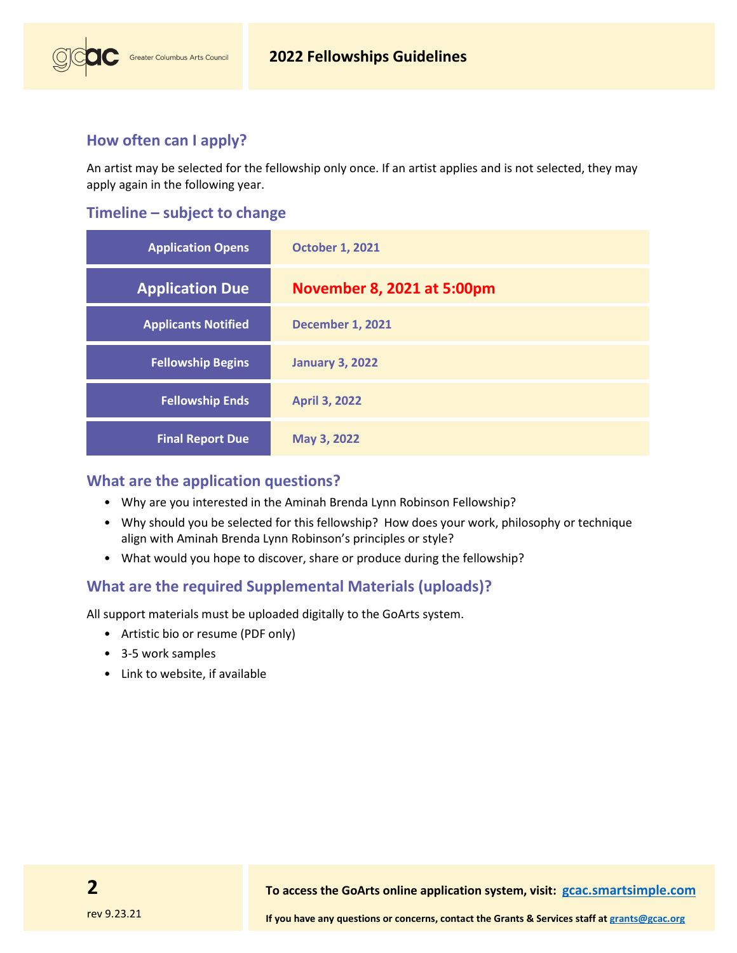## **How often can I apply?**

Greater Columbus Arts Council

An artist may be selected for the fellowship only once. If an artist applies and is not selected, they may apply again in the following year.

## **Timeline – subject to change**

| <b>Application Opens</b>   | <b>October 1, 2021</b>     |
|----------------------------|----------------------------|
| <b>Application Due</b>     | November 8, 2021 at 5:00pm |
| <b>Applicants Notified</b> | <b>December 1, 2021</b>    |
| <b>Fellowship Begins</b>   | <b>January 3, 2022</b>     |
| <b>Fellowship Ends</b>     | <b>April 3, 2022</b>       |
| <b>Final Report Due</b>    | May 3, 2022                |

## **What are the application questions?**

- Why are you interested in the Aminah Brenda Lynn Robinson Fellowship?
- Why should you be selected for this fellowship? How does your work, philosophy or technique align with Aminah Brenda Lynn Robinson's principles or style?
- What would you hope to discover, share or produce during the fellowship?

## **What are the required Supplemental Materials (uploads)?**

All support materials must be uploaded digitally to the GoArts system.

- Artistic bio or resume (PDF only)
- 3-5 work samples
- Link to website, if available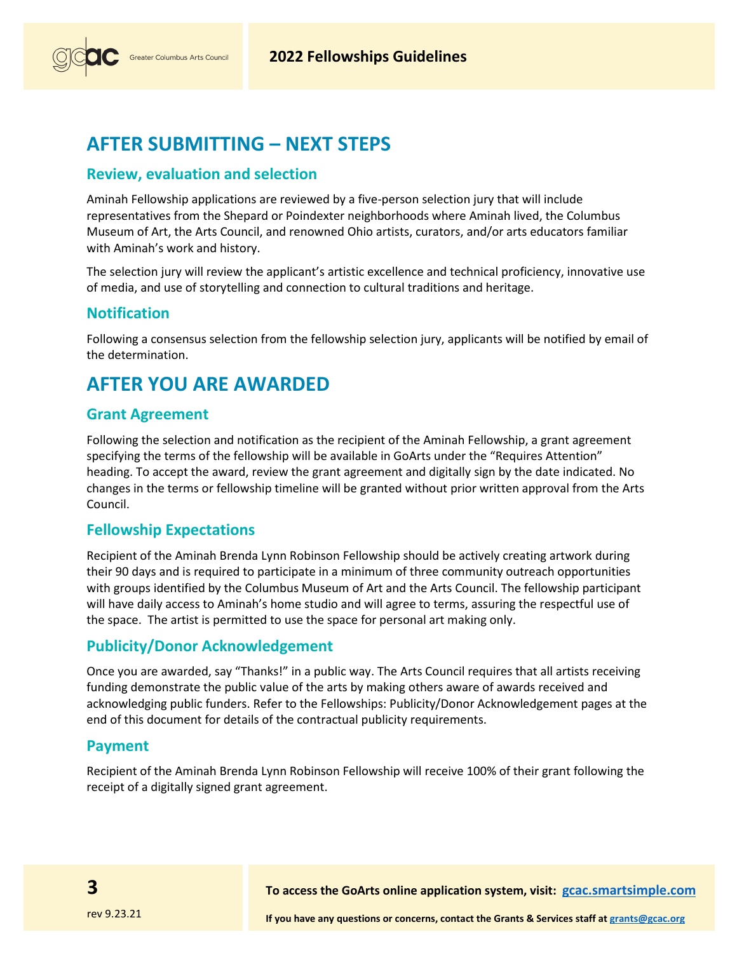

## **AFTER SUBMITTING – NEXT STEPS**

#### **Review, evaluation and selection**

Aminah Fellowship applications are reviewed by a five-person selection jury that will include representatives from the Shepard or Poindexter neighborhoods where Aminah lived, the Columbus Museum of Art, the Arts Council, and renowned Ohio artists, curators, and/or arts educators familiar with Aminah's work and history.

The selection jury will review the applicant's artistic excellence and technical proficiency, innovative use of media, and use of storytelling and connection to cultural traditions and heritage.

#### **Notification**

Following a consensus selection from the fellowship selection jury, applicants will be notified by email of the determination.

## **AFTER YOU ARE AWARDED**

#### **Grant Agreement**

Following the selection and notification as the recipient of the Aminah Fellowship, a grant agreement specifying the terms of the fellowship will be available in GoArts under the "Requires Attention" heading. To accept the award, review the grant agreement and digitally sign by the date indicated. No changes in the terms or fellowship timeline will be granted without prior written approval from the Arts Council.

#### **Fellowship Expectations**

Recipient of the Aminah Brenda Lynn Robinson Fellowship should be actively creating artwork during their 90 days and is required to participate in a minimum of three community outreach opportunities with groups identified by the Columbus Museum of Art and the Arts Council. The fellowship participant will have daily access to Aminah's home studio and will agree to terms, assuring the respectful use of the space. The artist is permitted to use the space for personal art making only.

#### **Publicity/Donor Acknowledgement**

Once you are awarded, say "Thanks!" in a public way. The Arts Council requires that all artists receiving funding demonstrate the public value of the arts by making others aware of awards received and acknowledging public funders. Refer to the Fellowships: Publicity/Donor Acknowledgement pages at the end of this document for details of the contractual publicity requirements.

#### **Payment**

Recipient of the Aminah Brenda Lynn Robinson Fellowship will receive 100% of their grant following the receipt of a digitally signed grant agreement.

**To access the GoArts online application system, visit: [gcac.smartsimple.com](https://gcac.smartsimple.com/)**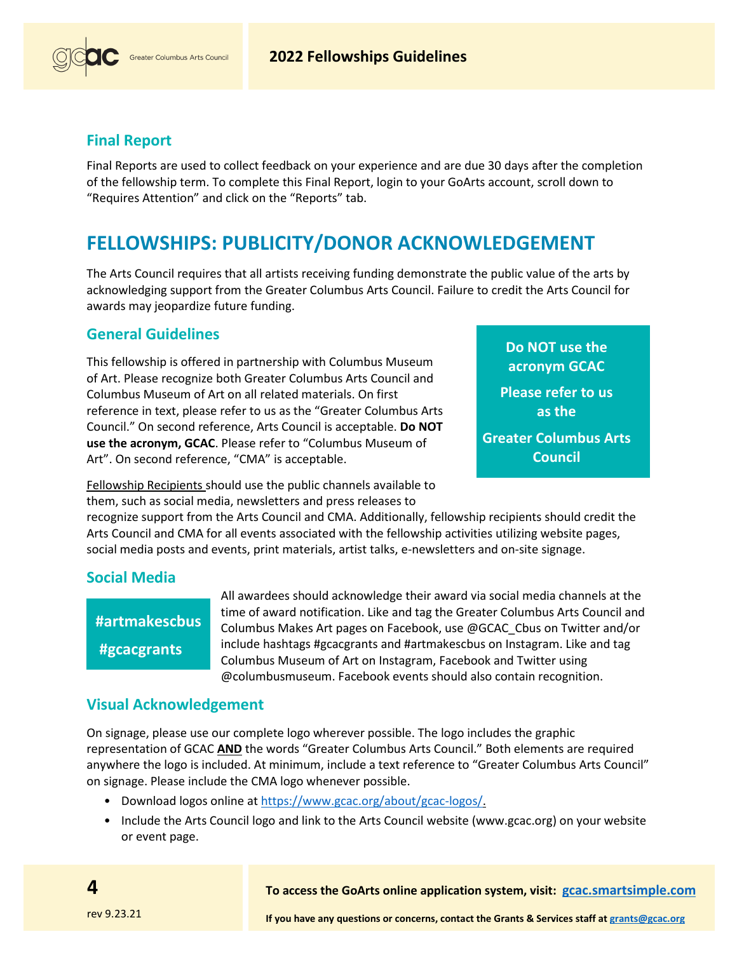

### **Final Report**

Final Reports are used to collect feedback on your experience and are due 30 days after the completion of the fellowship term. To complete this Final Report, login to your GoArts account, scroll down to "Requires Attention" and click on the "Reports" tab.

## **FELLOWSHIPS: PUBLICITY/DONOR ACKNOWLEDGEMENT**

The Arts Council requires that all artists receiving funding demonstrate the public value of the arts by acknowledging support from the Greater Columbus Arts Council. Failure to credit the Arts Council for awards may jeopardize future funding.

#### **General Guidelines**

This fellowship is offered in partnership with Columbus Museum of Art. Please recognize both Greater Columbus Arts Council and Columbus Museum of Art on all related materials. On first reference in text, please refer to us as the "Greater Columbus Arts Council." On second reference, Arts Council is acceptable. **Do NOT use the acronym, GCAC**. Please refer to "Columbus Museum of Art". On second reference, "CMA" is acceptable.

**Do NOT use the acronym GCAC Please refer to us as the**

**Greater Columbus Arts Council**

Fellowship Recipients should use the public channels available to them, such as social media, newsletters and press releases to

recognize support from the Arts Council and CMA. Additionally, fellowship recipients should credit the Arts Council and CMA for all events associated with the fellowship activities utilizing website pages, social media posts and events, print materials, artist talks, e-newsletters and on-site signage.

#### **Social Media**

## **#artmakescbus #gcacgrants**

All awardees should acknowledge their award via social media channels at the time of award notification. Like and tag the Greater Columbus Arts Council and Columbus Makes Art pages on Facebook, use @GCAC\_Cbus on Twitter and/or include hashtags #gcacgrants and #artmakescbus on Instagram. Like and tag Columbus Museum of Art on Instagram, Facebook and Twitter using @columbusmuseum. Facebook events should also contain recognition.

#### **Visual Acknowledgement**

On signage, please use our complete logo wherever possible. The logo includes the graphic representation of GCAC **AND** the words "Greater Columbus Arts Council." Both elements are required anywhere the logo is included. At minimum, include a text reference to "Greater Columbus Arts Council" on signage. Please include the CMA logo whenever possible.

- Download logos online at [https://www.gcac.org/about/gcac-logos/.](https://www.gcac.org/about/gcac-logos/)
- Include the Arts Council logo and link to the Arts Council website [\(www.gcac.org\)](http://www.gcac.org/) on your website or event page.

**To access the GoArts online application system, visit: [gcac.smartsimple.com](https://gcac.smartsimple.com/)**